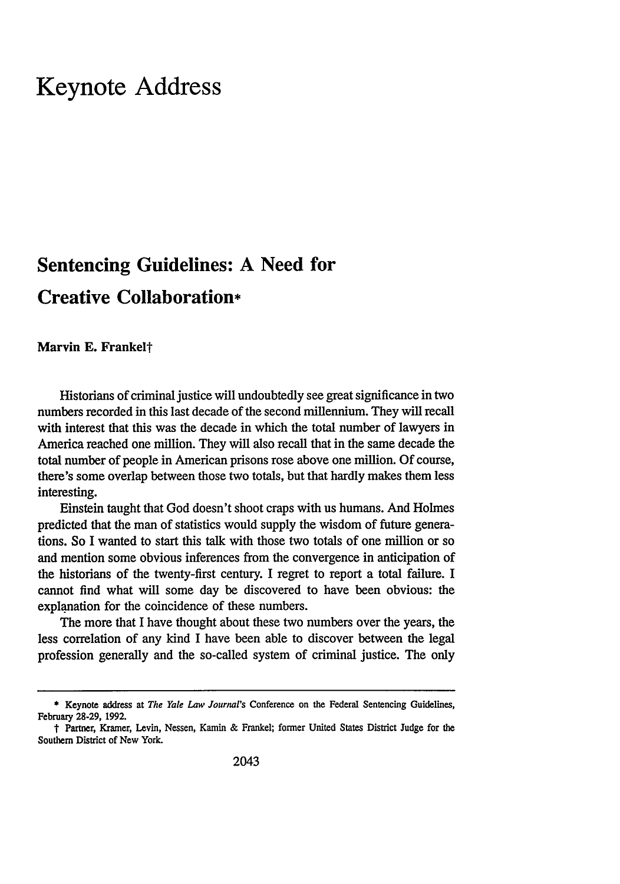## Keynote Address

## Sentencing Guidelines: **A** Need for Creative Collaboration\*

Marvin **E.** Frankelt

Historians of criminal justice will undoubtedly see great significance in two numbers recorded in this last decade of the second millennium. They will recall with interest that this was the decade in which the total number of lawyers in America reached one million. They will also recall that in the same decade the total number of people in American prisons rose above one million. Of course, there's some overlap between those two totals, but that hardly makes them less interesting.

Einstein taught that God doesn't shoot craps with us humans. And Holmes predicted that the man of statistics would supply the wisdom of future generations. So I wanted to start this talk with those two totals of one million or so and mention some obvious inferences from the convergence in anticipation of the historians of the twenty-first century. I regret to report a total failure. I cannot find what will some day be discovered to have been obvious: the explanation for the coincidence of these numbers.

The more that I have thought about these two numbers over the years, the less correlation of any kind I have been able to discover between the legal profession generally and the so-called system of criminal justice. The only

**<sup>\*</sup>** Keynote address at *The Yale Law Journal's* Conference on the Federal Sentencing Guidelines, February 28-29, 1992.

t Partner, Kramer, Levin, Nessen, Kamin & Frankel; former United States District Judge for the Southern District of New York.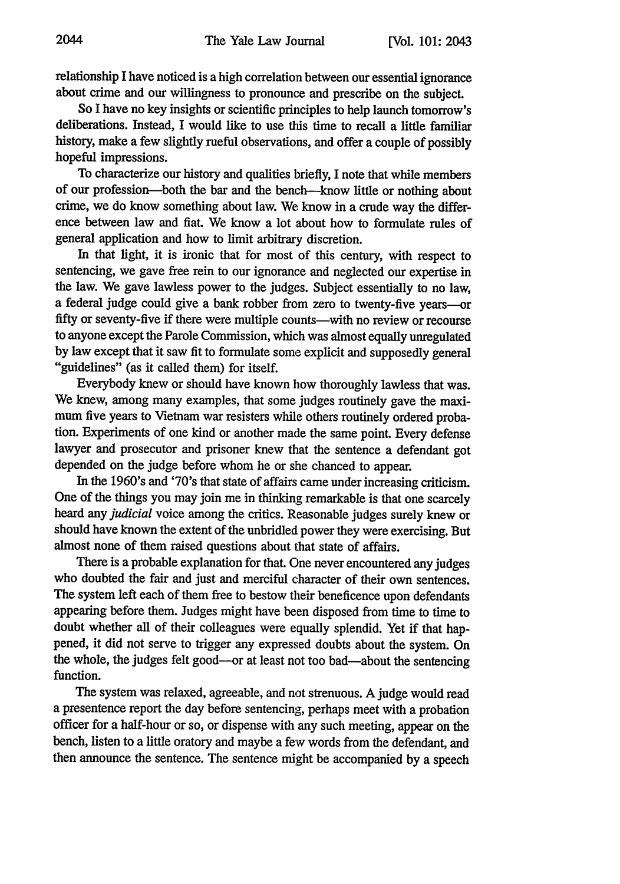relationship I have noticed is a high correlation between our essential ignorance about crime and our willingness to pronounce and prescribe on the subject.

So I have no key insights or scientific principles to help launch tomorrow's deliberations. Instead, I would like to use this time to recall a little familiar history, make a few slightly rueful observations, and offer a couple of possibly hopeful impressions.

To characterize our history and qualities briefly, I note that while members of our profession-both the bar and the bench-know little or nothing about crime, we do know something about law. We know in a crude way the difference between law and fiat. We know a lot about how to formulate rules of general application and how to limit arbitrary discretion.

In that light, it is ironic that for most of this century, with respect to sentencing, we gave free rein to our ignorance and neglected our expertise in the law. We gave lawless power to the judges. Subject essentially to no law, a federal judge could give a bank robber from zero to twenty-five years-or fifty or seventy-five if there were multiple counts—with no review or recourse to anyone except the Parole Commission, which was almost equally unregulated by law except that it saw fit to formulate some explicit and supposedly general "guidelines" (as it called them) for itself.

Everybody knew or should have known how thoroughly lawless that was. We knew, among many examples, that some judges routinely gave the maximum five years to Vietnam war resisters while others routinely ordered probation. Experiments of one kind or another made the same point. Every defense lawyer and prosecutor and prisoner knew that the sentence a defendant got depended on the judge before whom he or she chanced to appear.

In the 1960's and '70's that state of affairs came under increasing criticism. One of the things you may join me in thinking remarkable is that one scarcely heard any *judicial* voice among the critics. Reasonable judges surely knew or should have known the extent of the unbridled power they were exercising. But almost none of them raised questions about that state of affairs.

There is a probable explanation for that. One never encountered any judges who doubted the fair and just and merciful character of their own sentences. The system left each of them free to bestow their beneficence upon defendants appearing before them. Judges might have been disposed from time to time to doubt whether all of their colleagues were equally splendid. Yet if that happened, it did not serve to trigger any expressed doubts about the system. On the whole, the judges felt good--- or at least not too bad---about the sentencing function.

The system was relaxed, agreeable, and not strenuous. A judge would read a presentence report the day before sentencing, perhaps meet with a probation officer for a half-hour or so, or dispense with any such meeting, appear on the bench, listen to a little oratory and maybe a few words from the defendant, and then announce the sentence. The sentence might be accompanied by a speech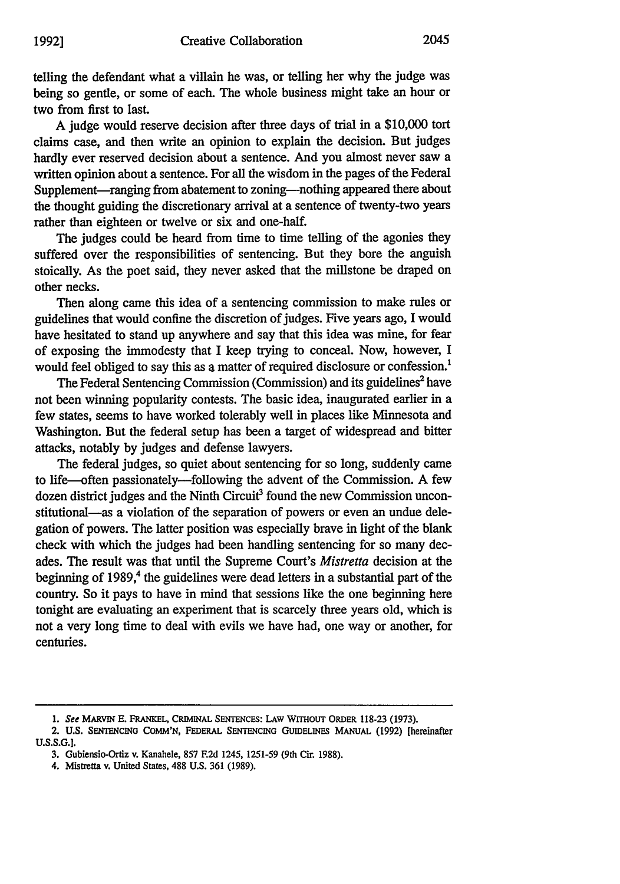telling the defendant what a villain he was, or telling her why the judge was being so gentle, or some of each. The whole business might take an hour or two from first to last.

A judge would reserve decision after three days of trial in a \$10,000 tort claims case, and then write an opinion to explain the decision. But judges hardly ever reserved decision about a sentence. And you almost never saw a written opinion about a sentence. For all the wisdom in the pages of the Federal Supplement-ranging from abatement to zoning-nothing appeared there about the thought guiding the discretionary arrival at a sentence of twenty-two years rather than eighteen or twelve or six and one-half.

The judges could be heard from time to time telling of the agonies they suffered over the responsibilities of sentencing. But they bore the anguish stoically. As the poet said, they never asked that the millstone be draped on other necks.

Then along came this idea of a sentencing commission to make rules or guidelines that would confine the discretion of judges. Five years ago, I would have hesitated to stand up anywhere and say that this idea was mine, for fear of exposing the immodesty that I keep trying to conceal. Now, however, I would feel obliged to say this as a matter of required disclosure or confession.<sup>1</sup>

The Federal Sentencing Commission (Commission) and its guidelines<sup>2</sup> have not been winning popularity contests. The basic idea, inaugurated earlier in a few states, seems to have worked tolerably well in places like Minnesota and Washington. But the federal setup has been a target of widespread and bitter attacks, notably by judges and defense lawyers.

The federal judges, so quiet about sentencing for so long, suddenly came to life-often passionately-following the advent of the Commission. A few dozen district judges and the Ninth Circuit<sup>3</sup> found the new Commission unconstitutional-as a violation of the separation of powers or even an undue delegation of powers. The latter position was especially brave in light of the blank check with which the judges had been handling sentencing for so many decades. The result was that until the Supreme Court's *Mistretta* decision at the beginning of  $1989<sup>4</sup>$ , the guidelines were dead letters in a substantial part of the country. So it pays to have in mind that sessions like the one beginning here tonight are evaluating an experiment that is scarcely three years old, which is not a very long time to deal with evils we have had, one way or another, for centuries.

*<sup>1.</sup> See* MARVIN **E.** FRANKEL, CRIMINAL **SENTENCES:** LAW WITHOUT ORDER 118-23 **(1973).**

<sup>2.</sup> **U.S.** SENTENCING COMM'N, FEDERAL SENTENCING GUIDELINES MANUAL (1992) [hereinafter

**U.S.S.G.].**

**<sup>3.</sup>** Gubiensio-Ortiz v. Kanahele, **857 F.2d** 1245, **1251-59** (9th Cir. **1988).**

<sup>4.</sup> Mistretta v. United States, 488 **U.S.** 361 (1989).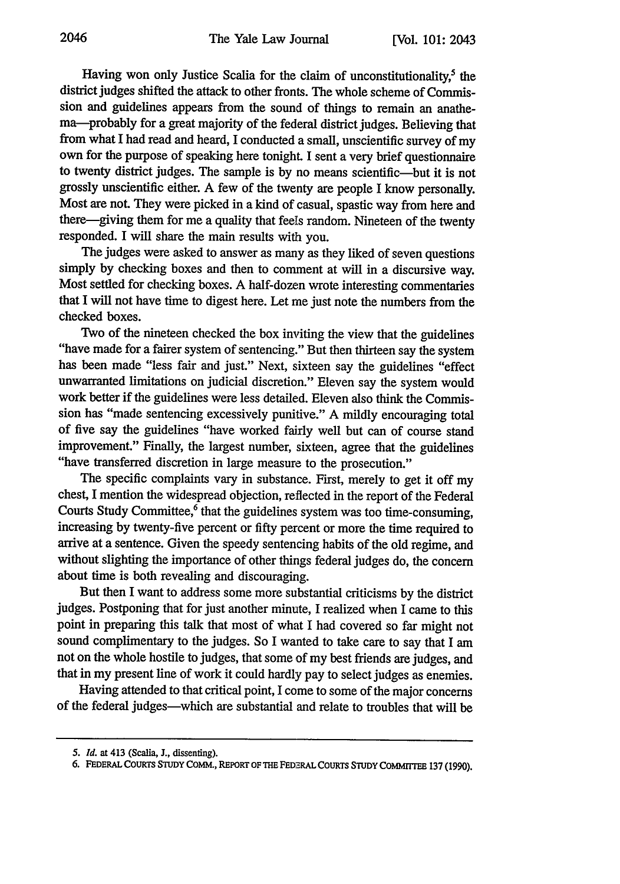Having won only Justice Scalia for the claim of unconstitutionality, $5$  the district judges shifted the attack to other fronts. The whole scheme of Commission and guidelines appears from the sound of things to remain an anathema-probably for a great majority of the federal district judges. Believing that from what I had read and heard, I conducted a small, unscientific survey of my own for the purpose of speaking here tonight. I sent a very brief questionnaire to twenty district judges. The sample is by no means scientific-but it is not grossly unscientific either. A few of the twenty are people I know personally. Most are not. They were picked in a kind of casual, spastic way from here and there-giving them for me a quality that feels random. Nineteen of the twenty responded. I will share the main results with you.

The judges were asked to answer as many as they liked of seven questions simply by checking boxes and then to comment at will in a discursive way. Most settled for checking boxes. A half-dozen wrote interesting commentaries that I will not have time to digest here. Let me just note the numbers from the checked boxes.

Two of the nineteen checked the box inviting the view that the guidelines "have made for a fairer system of sentencing." But then thirteen say the system has been made "less fair and just." Next, sixteen say the guidelines "effect unwarranted limitations on judicial discretion." Eleven say the system would work better if the guidelines were less detailed. Eleven also think the Commission has "made sentencing excessively punitive." A mildly encouraging total of five say the guidelines "have worked fairly well but can of course stand improvement." Finally, the largest number, sixteen, agree that the guidelines "have transferred discretion in large measure to the prosecution."

The specific complaints vary in substance. First, merely to get it off my chest, I mention the widespread objection, reflected in the report of the Federal Courts Study Committee, $6$  that the guidelines system was too time-consuming, increasing by twenty-five percent or fifty percent or more the time required to arrive at a sentence. Given the speedy sentencing habits of the old regime, and without slighting the importance of other things federal judges do, the concern about time is both revealing and discouraging.

But then I want to address some more substantial criticisms by the district judges. Postponing that for just another minute, I realized when I came to this point in preparing this talk that most of what I had covered so far might not sound complimentary to the judges. So I wanted to take care to say that I am not on the whole hostile to judges, that some of my best friends are judges, and that in my present line of work it could hardly pay to select judges as enemies.

Having attended to that critical point, I come to some of the major concerns of the federal judges-which are substantial and relate to troubles that will be

*<sup>5.</sup> id.* at 413 (Scalia, J., dissenting).

<sup>6.</sup> FEDERAL COURTS STUDY COMM., REPORT OF THE FEDERAL COURTS STUDY COMMIrTE. **137** (1990).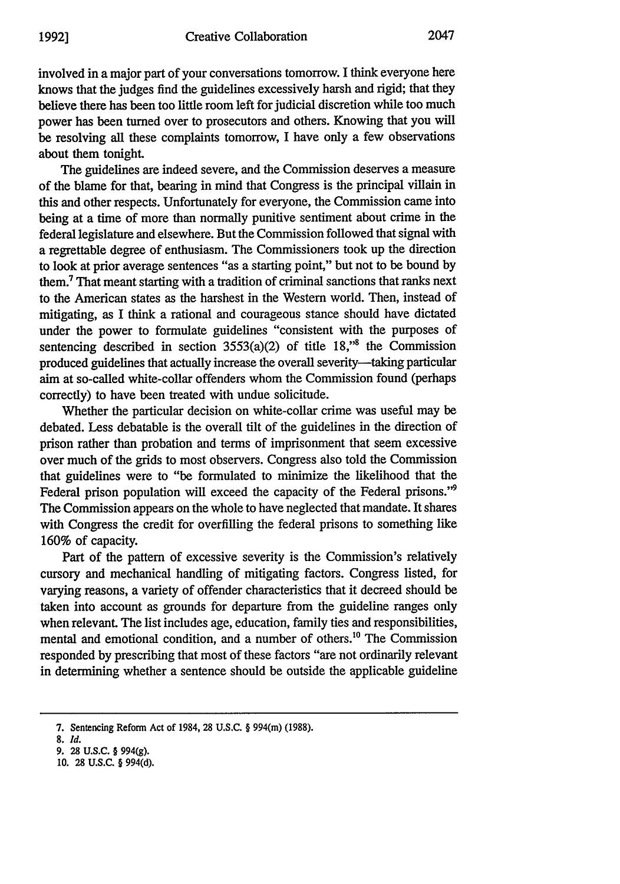involved in a major part of your conversations tomorrow. I think everyone here knows that the judges find the guidelines excessively harsh and rigid; that they believe there has been too little room left for judicial discretion while too much power has been turned over to prosecutors and others. Knowing that you will be resolving all these complaints tomorrow, I have only a few observations about them tonight.

The guidelines are indeed severe, and the Commission deserves a measure of the blame for that, bearing in mind that Congress is the principal villain in this and other respects. Unfortunately for everyone, the Commission came into being at a time of more than normally punitive sentiment about crime in the federal legislature and elsewhere. But the Commission followed that signal with a regrettable degree of enthusiasm. The Commissioners took up the direction to look at prior average sentences "as a starting point," but not to be bound by them.7 That meant starting with a tradition of criminal sanctions that ranks next to the American states as the harshest in the Western world. Then, instead of mitigating, as I think a rational and courageous stance should have dictated under the power to formulate guidelines "consistent with the purposes of sentencing described in section  $3553(a)(2)$  of title 18,<sup>18</sup> the Commission produced guidelines that actually increase the overall severity-taking particular aim at so-called white-collar offenders whom the Commission found (perhaps correctly) to have been treated with undue solicitude.

Whether the particular decision on white-collar crime was useful may be debated. Less debatable is the overall tilt of the guidelines in the direction of prison rather than probation and terms of imprisonment that seem excessive over much of the grids to most observers. Congress also told the Commission that guidelines were to "be formulated to minimize the likelihood that the Federal prison population will exceed the capacity of the Federal prisons."9 The Commission appears on the whole to have neglected that mandate. It shares with Congress the credit for overfilling the federal prisons to something like 160% of capacity.

Part of the pattern of excessive severity is the Commission's relatively cursory and mechanical handling of mitigating factors. Congress listed, for varying reasons, a variety of offender characteristics that it decreed should be taken into account as grounds for departure from the guideline ranges only when relevant. The list includes age, education, family ties and responsibilities, mental and emotional condition, and a number of others.<sup>10</sup> The Commission responded by prescribing that most of these factors "are not ordinarily relevant in determining whether a sentence should be outside the applicable guideline

**<sup>7.</sup>** Sentencing Reform Act of 1984, 28 **U.S.C.** § 994(m) (1988).

**<sup>8.</sup>** *Id.*

<sup>9. 28</sup> U.S.C. § 994(g).

**<sup>10.</sup>** 28 **U.S.C.** § 994(d).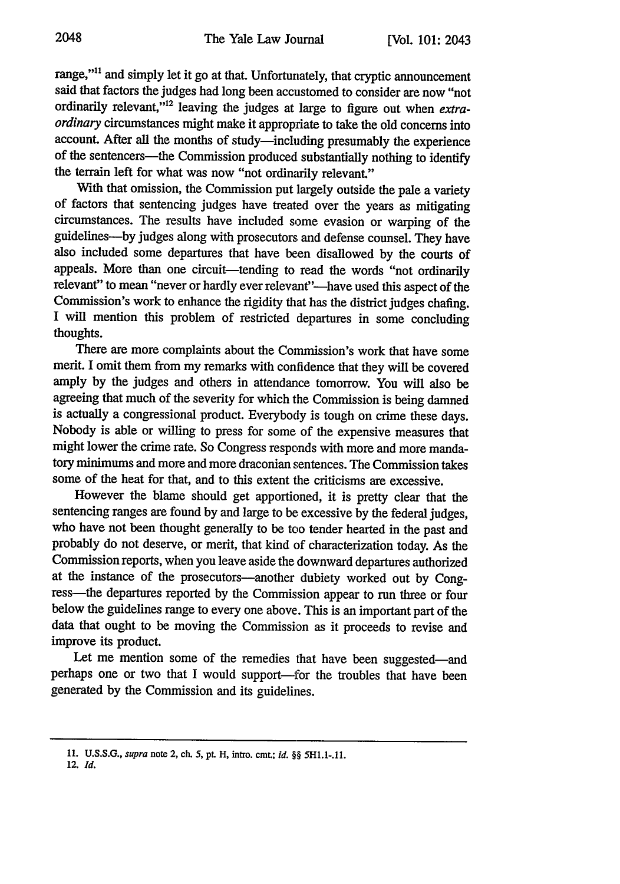range,"<sup>11</sup> and simply let it go at that. Unfortunately, that cryptic announcement said that factors the judges had long been accustomed to consider are now "not ordinarily relevant,"<sup>12</sup> leaving the judges at large to figure out when extraordinary circumstances might make it appropriate to take the old concerns into account. After all the months of study-including presumably the experience of the sentencers-the Commission produced substantially nothing to identify the terrain left for what was now "not ordinarily relevant."

With that omission, the Commission put largely outside the pale a variety of factors that sentencing judges have treated over the years as mitigating circumstances. The results have included some evasion or warping of the guidelines-by judges along with prosecutors and defense counsel. They have also included some departures that have been disallowed by the courts of appeals. More than one circuit-tending to read the words "not ordinarily relevant" to mean "never or hardly ever relevant"--have used this aspect of the Commission's work to enhance the rigidity that has the district judges chafing. I will mention this problem of restricted departures in some concluding thoughts.

There are more complaints about the Commission's work that have some merit. I omit them from my remarks with confidence that they will be covered amply by the judges and others in attendance tomorrow. You will also be agreeing that much of the severity for which the Commission is being damned is actually a congressional product. Everybody is tough on crime these days. Nobody is able or willing to press for some of the expensive measures that might lower the crime rate. So Congress responds with more and more mandatory minimums and more and more draconian sentences. The Commission takes some of the heat for that, and to this extent the criticisms are excessive.

However the blame should get apportioned, it is pretty clear that the sentencing ranges are found by and large to be excessive by the federal judges, who have not been thought generally to be too tender hearted in the past and probably do not deserve, or merit, that kind of characterization today. As the Commission reports, when you leave aside the downward departures authorized at the instance of the prosecutors-another dubiety worked out by Congress-the departures reported by the Commission appear to run three or four below the guidelines range to every one above. This is an important part of the data that ought to be moving the Commission as it proceeds to revise and improve its product.

Let me mention some of the remedies that have been suggested-and perhaps one or two that I would support-for the troubles that have been generated by the Commission and its guidelines.

**I1. U.S.S.G.,** *supra* note 2, **ch. 5,** *pt.* H, intro. cmt.; *id. §§* **5Hl.I-.11.**

<sup>12.</sup> *Id.*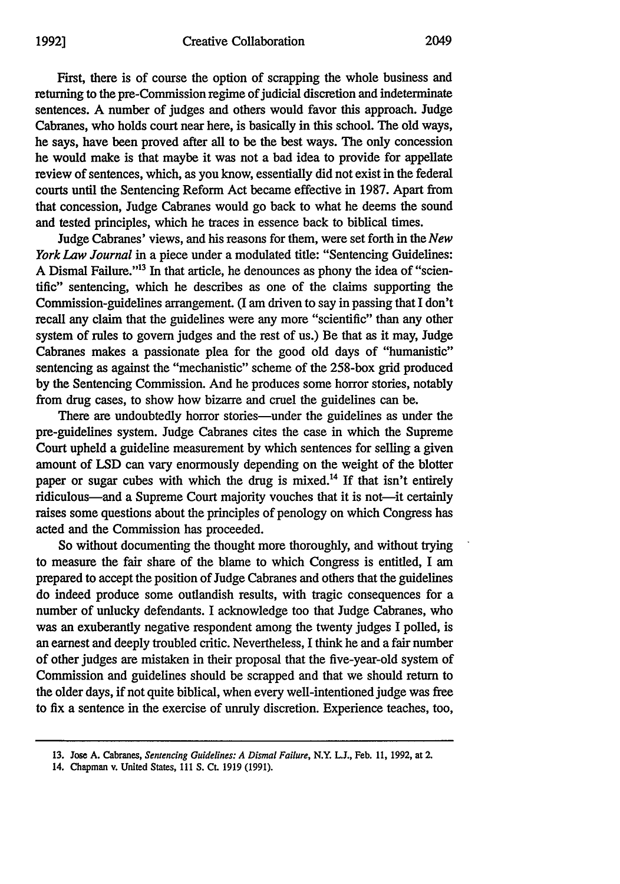First, there is of course the option of scrapping the whole business and returning to the pre-Commission regime of judicial discretion and indeterminate sentences. A number of judges and others would favor this approach. Judge Cabranes, who holds court near here, is basically in this school. The old ways, he says, have been proved after all to be the best ways. The only concession he would make is that maybe it was not a bad idea to provide for appellate review of sentences, which, as you know, essentially did not exist in the federal courts until the Sentencing Reform Act became effective in 1987. Apart from that concession, Judge Cabranes would go back to what he deems the sound and tested principles, which he traces in essence back to biblical times.

Judge Cabranes' views, and his reasons for them, were set forth in the *New York Law Journal* in a piece under a modulated title: "Sentencing Guidelines: A Dismal Failure."<sup>13</sup> In that article, he denounces as phony the idea of "scientific" sentencing, which he describes as one of the claims supporting the Commission-guidelines arrangement. (I am driven to say in passing that I don't recall any claim that the guidelines were any more "scientific" than any other system of rules to govern judges and the rest of us.) Be that as it may, Judge Cabranes makes a passionate plea for the good old days of "humanistic" sentencing as against the "mechanistic" scheme of the 258-box grid produced by the Sentencing Commission. And he produces some horror stories, notably from drug cases, to show how bizarre and cruel the guidelines can be.

There are undoubtedly horror stories—under the guidelines as under the pre-guidelines system. Judge Cabranes cites the case in which the Supreme Court upheld a guideline measurement by which sentences for selling a given amount of LSD can vary enormously depending on the weight of the blotter paper or sugar cubes with which the drug is mixed.<sup>14</sup> If that isn't entirely ridiculous-and a Supreme Court majority vouches that it is not-it certainly raises some questions about the principles of penology on which Congress has acted and the Commission has proceeded.

So without documenting the thought more thoroughly, and without trying to measure the fair share of the blame to which Congress is entitled, I am prepared to accept the position of Judge Cabranes and others that the guidelines do indeed produce some outlandish results, with tragic consequences for a number of unlucky defendants. I acknowledge too that Judge Cabranes, who was an exuberantly negative respondent among the twenty judges I polled, is an earnest and deeply troubled critic. Nevertheless, I think he and a fair number of other judges are mistaken in their proposal that the five-year-old system of Commission and guidelines should be scrapped and that we should return to the older days, if not quite biblical, when every well-intentioned judge was free to fix a sentence in the exercise of unruly discretion. Experience teaches, too,

<sup>13.</sup> Jose A. Cabranes, *Sentencing Guidelines: A Dismal Failure,* N.Y. **L.J.,** Feb. 11, 1992, at 2.

<sup>14.</sup> Chapman v. United States, **I11 S. Ct.** 1919 (1991).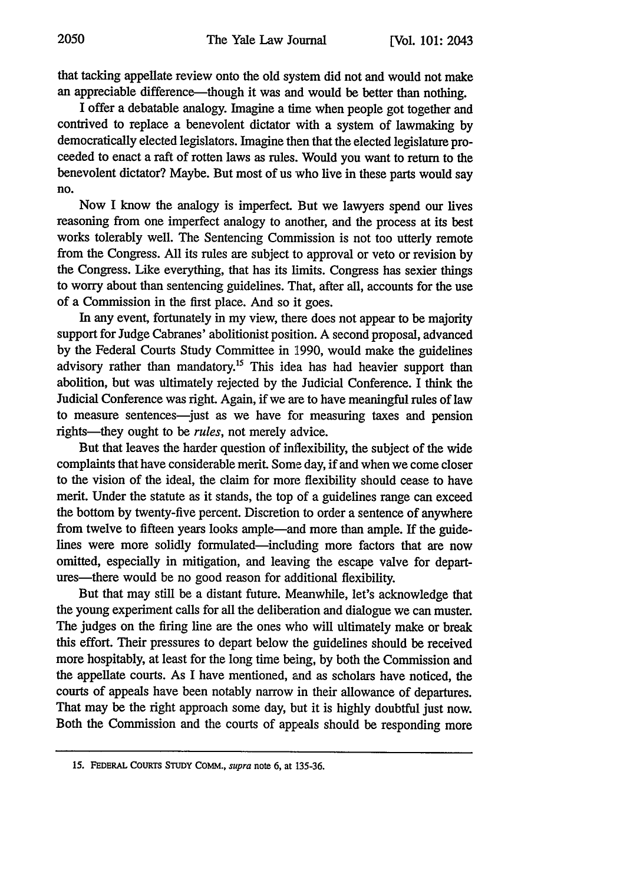that tacking appellate review onto the old system did not and would not make an appreciable difference-though it was and would be better than nothing.

I offer a debatable analogy. Imagine a time when people got together and contrived to replace a benevolent dictator with a system of lawmaking by democratically elected legislators. Imagine then that the elected legislature proceeded to enact a raft of rotten laws as rules. Would you want to return to the benevolent dictator? Maybe. But most of us who live in these parts would say no.

Now I know the analogy is imperfect. But we lawyers spend our lives reasoning from one imperfect analogy to another, and the process at its best works tolerably well. The Sentencing Commission is not too utterly remote from the Congress. All its rules are subject to approval or veto or revision by the Congress. Like everything, that has its limits. Congress has sexier things to worry about than sentencing guidelines. That, after all, accounts for the use of a Commission in the first place. And so it goes.

In any event, fortunately in my view, there does not appear to be majority support for Judge Cabranes' abolitionist position. A second proposal, advanced by the Federal Courts Study Committee in 1990, would make the guidelines advisory rather than mandatory.<sup>15</sup> This idea has had heavier support than abolition, but was ultimately rejected by the Judicial Conference. I think the Judicial Conference was right. Again, if we are to have meaningful rules of law to measure sentences—just as we have for measuring taxes and pension rights-they ought to be *rules*, not merely advice.

But that leaves the harder question of inflexibility, the subject of the wide complaints that have considerable merit. Some day, if and when we come closer to the vision of the ideal, the claim for more flexibility should cease to have merit. Under the statute as it stands, the top of a guidelines range can exceed the bottom by twenty-five percent. Discretion to order a sentence of anywhere from twelve to fifteen years looks ample-and more than ample. If the guidelines were more solidly formulated-including more factors that are now omitted, especially in mitigation, and leaving the escape valve for departures-there would be no good reason for additional flexibility.

But that may still be a distant future. Meanwhile, let's acknowledge that the young experiment calls for all the deliberation and dialogue we can muster. The judges on the firing line are the ones who will ultimately make or break this effort. Their pressures to depart below the guidelines should be received more hospitably, at least for the long time being, by both the Commission and the appellate courts. As I have mentioned, and as scholars have noticed, the courts of appeals have been notably narrow in their allowance of departures. That may be the right approach some day, but it is highly doubtful just now. Both the Commission and the courts of appeals should be responding more

<sup>15.</sup> FEDERAL COURTs STUDY CoMM., *supra* note 6, at 135-36.